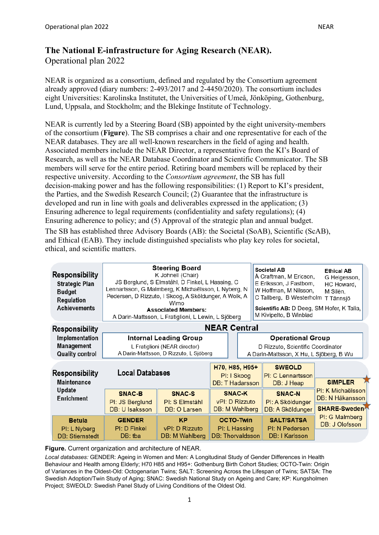## **The National E-infrastructure for Aging Research (NEAR).**  Operational plan 2022

NEAR is organized as a consortium, defined and regulated by the Consortium agreement already approved (diary numbers: 2-493/2017 and 2-4450/2020). The consortium includes eight Universities: Karolinska Institutet, the Universities of Umeå, Jönköping, Gothenburg, Lund, Uppsala, and Stockholm; and the Blekinge Institute of Technology.

NEAR is currently led by a Steering Board (SB) appointed by the eight university-members of the consortium (**Figure**). The SB comprises a chair and one representative for each of the NEAR databases. They are all well-known researchers in the field of aging and health. Associated members include the NEAR Director, a representative from the KI's Board of Research, as well as the NEAR Database Coordinator and Scientific Communicator. The SB members will serve for the entire period. Retiring board members will be replaced by their respective university. According to the *Consortium agreement*, the SB has full decision-making power and has the following responsibilities: (1) Report to KI's president, the Parties, and the Swedish Research Council; (2) Guarantee that the infrastructure is developed and run in line with goals and deliverables expressed in the application; (3) Ensuring adherence to legal requirements (confidentiality and safety regulations); (4) Ensuring adherence to policy; and (5) Approval of the strategic plan and annual budget.

The SB has established three Advisory Boards (AB): the Societal (SoAB), Scientific (ScAB), and Ethical (EAB). They include distinguished specialists who play key roles for societal, ethical, and scientific matters.

| Responsibility<br><b>Strategic Plan</b><br><b>Budget</b><br>Regulation<br>Achievements | <b>Steering Board</b><br>K Johnell (Chair)<br>JS Berglund, S Elmståhl, D Finkel, L Hassing, C<br>Lennartsson, G Malmberg, K Michaëlsson, L Nyberg, N<br>Pedersen, D Rizzuto, I Skoog, A Sköldunger, A Wolk, A<br>Wimo<br><b>Associated Members:</b><br>A Darin-Mattsson, L Fratiglioni, L Lewin, L Sjöberg |                                               |  | Societal AB<br>Å Craftman, M Ericson,<br>E Eriksson, J Fastbom,<br>W Hoffman, M Nilsson,<br>C Tallberg, B Westerholm<br>Scientific AB: D Deeg, SM Hofer, K Talia,<br>M Kivipelto, B Winblad | <b>Ethical AB</b><br>G Helgesson,<br>HC Howard,<br>M Silén,<br>T Tännsjö |                                                      |
|----------------------------------------------------------------------------------------|------------------------------------------------------------------------------------------------------------------------------------------------------------------------------------------------------------------------------------------------------------------------------------------------------------|-----------------------------------------------|--|---------------------------------------------------------------------------------------------------------------------------------------------------------------------------------------------|--------------------------------------------------------------------------|------------------------------------------------------|
| Responsibility                                                                         | <b>NEAR Central</b><br><b>Internal Leading Group</b><br>L Fratiglioni (NEAR director)<br>A Darin-Mattsson, D Rizzuto, L Sjöberg                                                                                                                                                                            |                                               |  |                                                                                                                                                                                             |                                                                          |                                                      |
| Implementation<br>Management<br><b>Quality control</b>                                 |                                                                                                                                                                                                                                                                                                            |                                               |  | <b>Operational Group</b><br>D Rizzuto, Scientific Coordinator<br>A Darin-Mattsson, X Hu, L Sjöberg, B Wu                                                                                    |                                                                          |                                                      |
| Responsibility<br><b>Maintenance</b>                                                   | <b>Local Databases</b>                                                                                                                                                                                                                                                                                     |                                               |  | H70, H85, H95+<br>PI: I Skoog<br>DB: T Hadarsson                                                                                                                                            | <b>SWEOLD</b><br>PI: C Lennartsson<br><b>SIMPLER</b><br>DB: J Heap       |                                                      |
| Update<br>Enrichment                                                                   | SNAC-B<br>PI: JS Berglund<br>DB: U Isaksson                                                                                                                                                                                                                                                                | SNAC-S<br>PI: S Elmståhl<br>DB: O Larsen      |  | <b>SNAC-K</b><br>vPI: D Rizzuto<br>DB: M Wahlberg                                                                                                                                           | <b>SNAC-N</b><br>PI: A Sköldunger<br>DB: A Sköldunger                    | PI: K Michaëlsson<br>DB: N Håkansson<br>SHARE-Sweden |
| <b>Betula</b><br>PI: L Nyberg<br><b>DB: Stiernstedt</b>                                | <b>GENDER</b><br>PI: D Finkel<br>DB: tba                                                                                                                                                                                                                                                                   | <b>KP</b><br>vPI: D Rizzuto<br>DB: M Wahlberg |  | <b>OCTO-Twin</b><br>PI: L Hassing<br><b>DB: Thorvaldsson</b>                                                                                                                                | <b>SALT/SATSA</b><br>PI: N Pedersen<br>DB: I Karlsson                    | PI: G Malmberg<br>DB: J Olofsson                     |

**Figure.** Current organization and architecture of NEAR.

*Local databases:* GENDER: Ageing in Women and Men: A Longitudinal Study of Gender Differences in Health Behaviour and Health among Elderly; H70 H85 and H95+: Gothenburg Birth Cohort Studies; OCTO-Twin: Origin of Variances in the Oldest-Old: Octogenarian Twins; SALT: Screening Across the Lifespan of Twins; SATSA: The Swedish Adoption/Twin Study of Aging; SNAC: Swedish National Study on Ageing and Care; KP: Kungsholmen Project; SWEOLD: Swedish Panel Study of Living Conditions of the Oldest Old.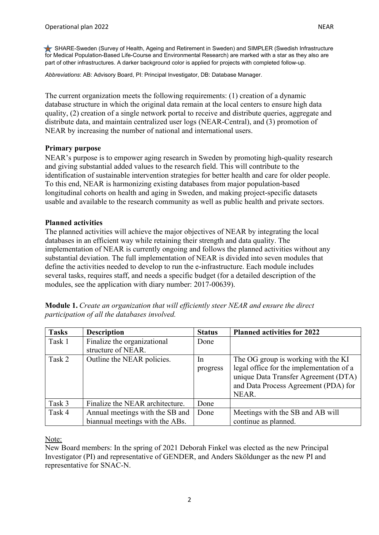SHARE-Sweden (Survey of Health, Ageing and Retirement in Sweden) and SIMPLER (Swedish Infrastructure for Medical Population-Based Life-Course and Environmental Research) are marked with a star as they also are part of other infrastructures. A darker background color is applied for projects with completed follow-up.

*Abbreviations*: AB: Advisory Board, PI: Principal Investigator, DB: Database Manager.

The current organization meets the following requirements: (1) creation of a dynamic database structure in which the original data remain at the local centers to ensure high data quality, (2) creation of a single network portal to receive and distribute queries, aggregate and distribute data, and maintain centralized user logs (NEAR-Central), and (3) promotion of NEAR by increasing the number of national and international users.

## **Primary purpose**

NEAR's purpose is to empower aging research in Sweden by promoting high-quality research and giving substantial added values to the research field. This will contribute to the identification of sustainable intervention strategies for better health and care for older people. To this end, NEAR is harmonizing existing databases from major population-based longitudinal cohorts on health and aging in Sweden, and making project-specific datasets usable and available to the research community as well as public health and private sectors.

## **Planned activities**

The planned activities will achieve the major objectives of NEAR by integrating the local databases in an efficient way while retaining their strength and data quality. The implementation of NEAR is currently ongoing and follows the planned activities without any substantial deviation. The full implementation of NEAR is divided into seven modules that define the activities needed to develop to run the e-infrastructure. Each module includes several tasks, requires staff, and needs a specific budget (for a detailed description of the modules, see the application with diary number: 2017-00639).

| <b>Module 1.</b> Create an organization that will efficiently steer NEAR and ensure the direct |  |
|------------------------------------------------------------------------------------------------|--|
| participation of all the databases involved.                                                   |  |

| <b>Tasks</b> | <b>Description</b>                                                 | <b>Status</b>  | <b>Planned activities for 2022</b>                                                                                                                                       |
|--------------|--------------------------------------------------------------------|----------------|--------------------------------------------------------------------------------------------------------------------------------------------------------------------------|
| Task 1       | Finalize the organizational<br>structure of NEAR.                  | Done           |                                                                                                                                                                          |
| Task 2       | Outline the NEAR policies.                                         | In<br>progress | The OG group is working with the KI<br>legal office for the implementation of a<br>unique Data Transfer Agreement (DTA)<br>and Data Process Agreement (PDA) for<br>NEAR. |
| Task 3       | Finalize the NEAR architecture.                                    | Done           |                                                                                                                                                                          |
| Task 4       | Annual meetings with the SB and<br>biannual meetings with the ABs. | Done           | Meetings with the SB and AB will<br>continue as planned.                                                                                                                 |

Note:

New Board members: In the spring of 2021 Deborah Finkel was elected as the new Principal Investigator (PI) and representative of GENDER, and Anders Sköldunger as the new PI and representative for SNAC-N.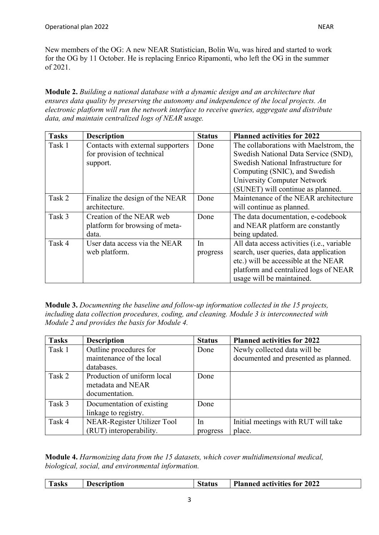New members of the OG: A new NEAR Statistician, Bolin Wu, was hired and started to work for the OG by 11 October. He is replacing Enrico Ripamonti, who left the OG in the summer of 2021.

**Module 2.** *Building a national database with a dynamic design and an architecture that ensures data quality by preserving the autonomy and independence of the local projects. An electronic platform will run the network interface to receive queries, aggregate and distribute data, and maintain centralized logs of NEAR usage.* 

| <b>Tasks</b> | <b>Description</b>                | <b>Status</b> | <b>Planned activities for 2022</b>         |
|--------------|-----------------------------------|---------------|--------------------------------------------|
| Task 1       | Contacts with external supporters | Done          | The collaborations with Maelstrom, the     |
|              | for provision of technical        |               | Swedish National Data Service (SND),       |
|              | support.                          |               | Swedish National Infrastructure for        |
|              |                                   |               | Computing (SNIC), and Swedish              |
|              |                                   |               | University Computer Network                |
|              |                                   |               | (SUNET) will continue as planned.          |
| Task 2       | Finalize the design of the NEAR   | Done          | Maintenance of the NEAR architecture       |
|              | architecture.                     |               | will continue as planned.                  |
| Task 3       | Creation of the NEAR web          | Done          | The data documentation, e-codebook         |
|              | platform for browsing of meta-    |               | and NEAR platform are constantly           |
|              | data.                             |               | being updated.                             |
| Task 4       | User data access via the NEAR     | In            | All data access activities (i.e., variable |
|              | web platform.                     | progress      | search, user queries, data application     |
|              |                                   |               | etc.) will be accessible at the NEAR       |
|              |                                   |               | platform and centralized logs of NEAR      |
|              |                                   |               | usage will be maintained.                  |

**Module 3.** *Documenting the baseline and follow-up information collected in the 15 projects, including data collection procedures, coding, and cleaning. Module 3 is interconnected with Module 2 and provides the basis for Module 4.*

| <b>Tasks</b> | <b>Description</b>          | <b>Status</b> | <b>Planned activities for 2022</b>   |
|--------------|-----------------------------|---------------|--------------------------------------|
| Task 1       | Outline procedures for      | Done          | Newly collected data will be         |
|              | maintenance of the local    |               | documented and presented as planned. |
|              | databases.                  |               |                                      |
| Task 2       | Production of uniform local | Done          |                                      |
|              | metadata and NEAR           |               |                                      |
|              | documentation.              |               |                                      |
| Task 3       | Documentation of existing   | Done          |                                      |
|              | linkage to registry.        |               |                                      |
| Task 4       | NEAR-Register Utilizer Tool | In            | Initial meetings with RUT will take  |
|              | (RUT) interoperability.     | progress      | place.                               |

**Module 4.** *Harmonizing data from the 15 datasets, which cover multidimensional medical, biological, social, and environmental information.*

| <b>Tasks</b><br><b>Planned activities for 2022</b><br><b>Status</b><br><b>Description</b> |
|-------------------------------------------------------------------------------------------|
|-------------------------------------------------------------------------------------------|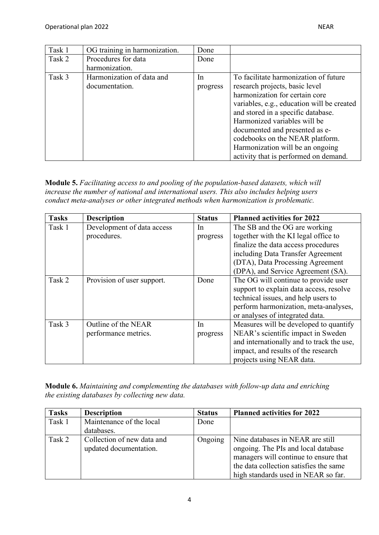| Task 1 | OG training in harmonization. | Done     |                                            |
|--------|-------------------------------|----------|--------------------------------------------|
| Task 2 | Procedures for data           | Done     |                                            |
|        | harmonization.                |          |                                            |
| Task 3 | Harmonization of data and     | In       | To facilitate harmonization of future      |
|        | documentation.                | progress | research projects, basic level             |
|        |                               |          | harmonization for certain core             |
|        |                               |          | variables, e.g., education will be created |
|        |                               |          | and stored in a specific database.         |
|        |                               |          | Harmonized variables will be               |
|        |                               |          | documented and presented as e-             |
|        |                               |          | codebooks on the NEAR platform.            |
|        |                               |          | Harmonization will be an ongoing           |
|        |                               |          | activity that is performed on demand.      |

**Module 5.** *Facilitating access to and pooling of the population-based datasets, which will increase the number of national and international users. This also includes helping users conduct meta-analyses or other integrated methods when harmonization is problematic.*

| <b>Tasks</b> | <b>Description</b>         | <b>Status</b> | <b>Planned activities for 2022</b>        |
|--------------|----------------------------|---------------|-------------------------------------------|
| Task 1       | Development of data access | In            | The SB and the OG are working             |
|              | procedures.                | progress      | together with the KI legal office to      |
|              |                            |               | finalize the data access procedures       |
|              |                            |               | including Data Transfer Agreement         |
|              |                            |               | (DTA), Data Processing Agreement          |
|              |                            |               | (DPA), and Service Agreement (SA).        |
| Task 2       | Provision of user support. | Done          | The OG will continue to provide user      |
|              |                            |               | support to explain data access, resolve   |
|              |                            |               | technical issues, and help users to       |
|              |                            |               | perform harmonization, meta-analyses,     |
|              |                            |               | or analyses of integrated data.           |
| Task 3       | Outline of the NEAR        | In            | Measures will be developed to quantify    |
|              | performance metrics.       | progress      | NEAR's scientific impact in Sweden        |
|              |                            |               | and internationally and to track the use, |
|              |                            |               | impact, and results of the research       |
|              |                            |               | projects using NEAR data.                 |

**Module 6.** *Maintaining and complementing the databases with follow-up data and enriching the existing databases by collecting new data.*

| <b>Tasks</b> | <b>Description</b>                                   | <b>Status</b> | <b>Planned activities for 2022</b>                                                                                                                         |
|--------------|------------------------------------------------------|---------------|------------------------------------------------------------------------------------------------------------------------------------------------------------|
| Task 1       | Maintenance of the local                             | Done          |                                                                                                                                                            |
|              | databases.                                           |               |                                                                                                                                                            |
| Task 2       | Collection of new data and<br>updated documentation. | Ongoing       | Nine databases in NEAR are still<br>ongoing. The PIs and local database<br>managers will continue to ensure that<br>the data collection satisfies the same |
|              |                                                      |               | high standards used in NEAR so far.                                                                                                                        |